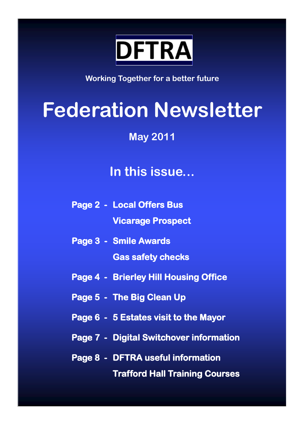

**Working Together for a better future**

# **Federation Newsletter**

**May 2011**

# **In this issue...**

- **Page 2 Local Offers Bus Vicarage Prospect**
- **Page 3 Smile Awards Gas safety checks**
- **Page 4 Brierley Hill Housing Office**
- **Page 5 The Big Clean Up**
- **Page 6 5 Estates visit to the Mayor**
- **Page 7 Digital Switchover information**
- **Page 8 DFTRA useful information Trafford Hall Training Courses**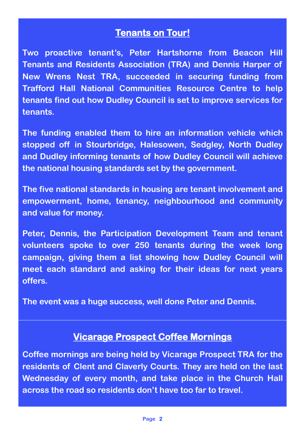# **Tenants on Tour!**

**Two proactive tenant"s, Peter Hartshorne from Beacon Hill Tenants and Residents Association (TRA) and Dennis Harper of New Wrens Nest TRA, succeeded in securing funding from Trafford Hall National Communities Resource Centre to help tenants find out how Dudley Council is set to improve services for tenants.** 

**The funding enabled them to hire an information vehicle which stopped off in Stourbridge, Halesowen, Sedgley, North Dudley and Dudley informing tenants of how Dudley Council will achieve the national housing standards set by the government.** 

**The five national standards in housing are tenant involvement and empowerment, home, tenancy, neighbourhood and community and value for money.** 

**Peter, Dennis, the Participation Development Team and tenant volunteers spoke to over 250 tenants during the week long campaign, giving them a list showing how Dudley Council will meet each standard and asking for their ideas for next years offers.**

**The event was a huge success, well done Peter and Dennis.**

#### **Vicarage Prospect Coffee Mornings**

**Coffee mornings are being held by Vicarage Prospect TRA for the residents of Clent and Claverly Courts. They are held on the last Wednesday of every month, and take place in the Church Hall across the road so residents don"t have too far to travel.**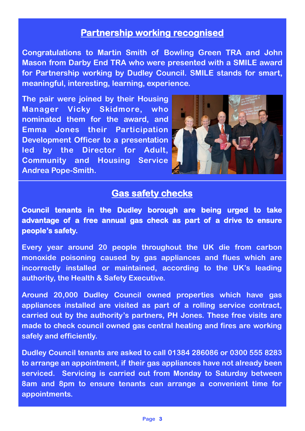#### **Partnership working recognised**

**Congratulations to Martin Smith of Bowling Green TRA and John Mason from Darby End TRA who were presented with a SMILE award for Partnership working by Dudley Council. SMILE stands for smart, meaningful, interesting, learning, experience.** 

**The pair were joined by their Housing Manager Vicky Skidmore, who nominated them for the award, and Emma Jones their Participation Development Officer to a presentation led by the Director for Adult, Community and Housing Service Andrea Pope-Smith.**



#### **Gas safety checks**

**Council tenants in the Dudley borough are being urged to take advantage of a free annual gas check as part of a drive to ensure people"s safety.** 

**Every year around 20 people throughout the UK die from carbon monoxide poisoning caused by gas appliances and flues which are incorrectly installed or maintained, according to the UK"s leading authority, the Health & Safety Executive.**

**Around 20,000 Dudley Council owned properties which have gas appliances installed are visited as part of a rolling service contract, carried out by the authority"s partners, PH Jones. These free visits are made to check council owned gas central heating and fires are working safely and efficiently.** 

**Dudley Council tenants are asked to call 01384 286086 or 0300 555 8283 to arrange an appointment, if their gas appliances have not already been serviced. Servicing is carried out from Monday to Saturday between 8am and 8pm to ensure tenants can arrange a convenient time for appointments.**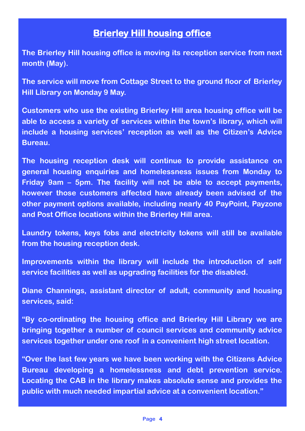## **Brierley Hill housing office**

**The Brierley Hill housing office is moving its reception service from next month (May).**

**The service will move from Cottage Street to the ground floor of Brierley Hill Library on Monday 9 May.**

**Customers who use the existing Brierley Hill area housing office will be able to access a variety of services within the town"s library, which will include a housing services" reception as well as the Citizen"s Advice Bureau.**

**The housing reception desk will continue to provide assistance on general housing enquiries and homelessness issues from Monday to Friday 9am – 5pm. The facility will not be able to accept payments, however those customers affected have already been advised of the other payment options available, including nearly 40 PayPoint, Payzone and Post Office locations within the Brierley Hill area.**

**Laundry tokens, keys fobs and electricity tokens will still be available from the housing reception desk.**

**Improvements within the library will include the introduction of self service facilities as well as upgrading facilities for the disabled.**

**Diane Channings, assistant director of adult, community and housing services, said:**

**"By co-ordinating the housing office and Brierley Hill Library we are bringing together a number of council services and community advice services together under one roof in a convenient high street location.**

**"Over the last few years we have been working with the Citizens Advice Bureau developing a homelessness and debt prevention service. Locating the CAB in the library makes absolute sense and provides the public with much needed impartial advice at a convenient location."**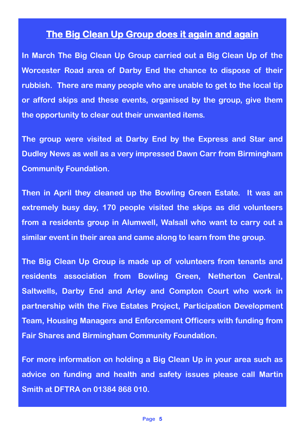#### **The Big Clean Up Group does it again and again**

**In March The Big Clean Up Group carried out a Big Clean Up of the Worcester Road area of Darby End the chance to dispose of their rubbish. There are many people who are unable to get to the local tip or afford skips and these events, organised by the group, give them the opportunity to clear out their unwanted items.** 

**The group were visited at Darby End by the Express and Star and Dudley News as well as a very impressed Dawn Carr from Birmingham Community Foundation.**

**Then in April they cleaned up the Bowling Green Estate. It was an extremely busy day, 170 people visited the skips as did volunteers from a residents group in Alumwell, Walsall who want to carry out a similar event in their area and came along to learn from the group.**

**The Big Clean Up Group is made up of volunteers from tenants and residents association from Bowling Green, Netherton Central, Saltwells, Darby End and Arley and Compton Court who work in partnership with the Five Estates Project, Participation Development Team, Housing Managers and Enforcement Officers with funding from Fair Shares and Birmingham Community Foundation.**

**For more information on holding a Big Clean Up in your area such as advice on funding and health and safety issues please call Martin Smith at DFTRA on 01384 868 010.**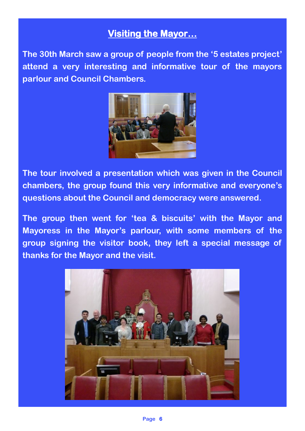## **Visiting the Mayor…**

**The 30th March saw a group of people from the "5 estates project" attend a very interesting and informative tour of the mayors parlour and Council Chambers.** 



**The tour involved a presentation which was given in the Council chambers, the group found this very informative and everyone"s questions about the Council and democracy were answered.** 

**The group then went for "tea & biscuits" with the Mayor and Mayoress in the Mayor"s parlour, with some members of the group signing the visitor book, they left a special message of thanks for the Mayor and the visit.**

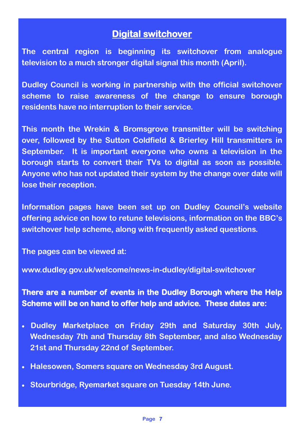#### **Digital switchover**

**The central region is beginning its switchover from analogue television to a much stronger digital signal this month (April).**

**Dudley Council is working in partnership with the official switchover scheme to raise awareness of the change to ensure borough residents have no interruption to their service.**

**This month the Wrekin & Bromsgrove transmitter will be switching over, followed by the Sutton Coldfield & Brierley Hill transmitters in September. It is important everyone who owns a television in the borough starts to convert their TVs to digital as soon as possible. Anyone who has not updated their system by the change over date will lose their reception.**

**Information pages have been set up on Dudley Council"s website offering advice on how to retune televisions, information on the BBC"s switchover help scheme, along with frequently asked questions.**

**The pages can be viewed at:** 

**www.dudley.gov.uk/welcome/news-in-dudley/digital-switchover**

**There are a number of events in the Dudley Borough where the Help Scheme will be on hand to offer help and advice. These dates are:** 

- **Dudley Marketplace on Friday 29th and Saturday 30th July, Wednesday 7th and Thursday 8th September, and also Wednesday 21st and Thursday 22nd of September.**
- **Halesowen, Somers square on Wednesday 3rd August.**
- **Stourbridge, Ryemarket square on Tuesday 14th June.**